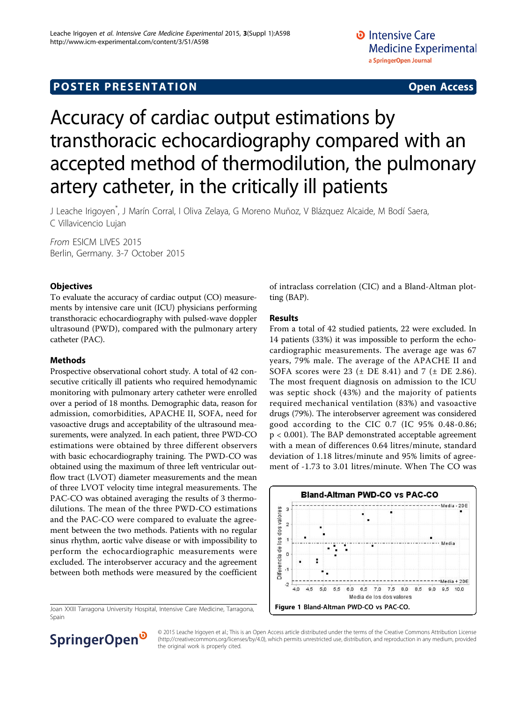# **POSTER PRESENTATION CONSUMING THE SERVICE SERVICE SERVICES**

# Accuracy of cardiac output estimations by transthoracic echocardiography compared with an accepted method of thermodilution, the pulmonary artery catheter, in the critically ill patients

J Leache Irigoyen\* , J Marín Corral, I Oliva Zelaya, G Moreno Muñoz, V Blázquez Alcaide, M Bodí Saera, C Villavicencio Lujan

From ESICM LIVES 2015 Berlin, Germany. 3-7 October 2015

# **Objectives**

To evaluate the accuracy of cardiac output (CO) measurements by intensive care unit (ICU) physicians performing transthoracic echocardiography with pulsed-wave doppler ultrasound (PWD), compared with the pulmonary artery catheter (PAC).

### Methods

Prospective observational cohort study. A total of 42 consecutive critically ill patients who required hemodynamic monitoring with pulmonary artery catheter were enrolled over a period of 18 months. Demographic data, reason for admission, comorbidities, APACHE II, SOFA, need for vasoactive drugs and acceptability of the ultrasound measurements, were analyzed. In each patient, three PWD-CO estimations were obtained by three different observers with basic echocardiography training. The PWD-CO was obtained using the maximum of three left ventricular outflow tract (LVOT) diameter measurements and the mean of three LVOT velocity time integral measurements. The PAC-CO was obtained averaging the results of 3 thermodilutions. The mean of the three PWD-CO estimations and the PAC-CO were compared to evaluate the agreement between the two methods. Patients with no regular sinus rhythm, aortic valve disease or with impossibility to perform the echocardiographic measurements were excluded. The interobserver accuracy and the agreement between both methods were measured by the coefficient

Joan XXIII Tarragona University Hospital, Intensive Care Medicine, Tarragona, Spain

of intraclass correlation (CIC) and a Bland-Altman plotting (BAP).

# Results

From a total of 42 studied patients, 22 were excluded. In 14 patients (33%) it was impossible to perform the echocardiographic measurements. The average age was 67 years, 79% male. The average of the APACHE II and SOFA scores were 23  $(\pm$  DE 8.41) and 7  $(\pm$  DE 2.86). The most frequent diagnosis on admission to the ICU was septic shock (43%) and the majority of patients required mechanical ventilation (83%) and vasoactive drugs (79%). The interobserver agreement was considered good according to the CIC 0.7 (IC 95% 0.48-0.86; p < 0.001). The BAP demonstrated acceptable agreement with a mean of differences 0.64 litres/minute, standard deviation of 1.18 litres/minute and 95% limits of agreement of -1.73 to 3.01 litres/minute. When The CO was





© 2015 Leache Irigoyen et al.; This is an Open Access article distributed under the terms of the Creative Commons Attribution License [\(http://creativecommons.org/licenses/by/4.0](http://creativecommons.org/licenses/by/4.0)), which permits unrestricted use, distribution, and reproduction in any medium, provided the original work is properly cited.